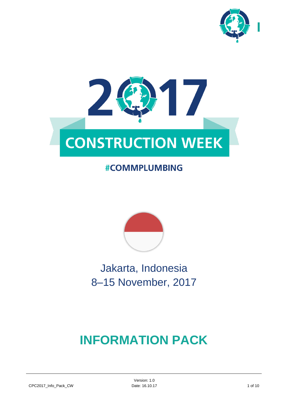



# **#COMMPLUMBING**



Jakarta, Indonesia 8–15 November, 2017

# **INFORMATION PACK**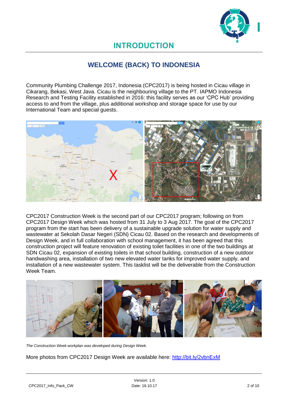

# **INTRODUCTION**

# **WELCOME (BACK) TO INDONESIA**

Community Plumbing Challenge 2017, Indonesia (CPC2017) is being hosted in Cicau village in Cikarang, Bekasi, West Java. Cicau is the neighbouring village to the PT. IAPMO Indonesia Research and Testing Facility established in 2016: this facility serves as our 'CPC Hub' providing access to and from the village, plus additional workshop and storage space for use by our International Team and special guests.



CPC2017 Construction Week is the second part of our CPC2017 program; following on from CPC2017 Design Week which was hosted from 31 July to 3 Aug 2017. The goal of the CPC2017 program from the start has been delivery of a sustainable upgrade solution for water supply and wastewater at Sekolah Dasar Negeri (SDN) Cicau 02. Based on the research and developments of Design Week, and in full collaboration with school management, it has been agreed that this construction project will feature renovation of existing toilet facilities in one of the two buildings at SDN Cicau 02, expansion of existing toilets in that school building, construction of a new outdoor handwashing area, installation of two new elevated water tanks for improved water supply, and installation of a new wastewater system. This tasklist will be the deliverable from the Construction Week Team.



*The Construction Week workplan was developed during Design Week.*

More photos from CPC2017 Design Week are available here: <http://bit.ly/2vbnExM>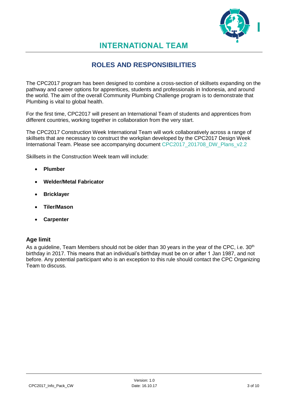

# **INTERNATIONAL TEAM**

# **ROLES AND RESPONSIBILITIES**

The CPC2017 program has been designed to combine a cross-section of skillsets expanding on the pathway and career options for apprentices, students and professionals in Indonesia, and around the world. The aim of the overall Community Plumbing Challenge program is to demonstrate that Plumbing is vital to global health.

For the first time, CPC2017 will present an International Team of students and apprentices from different countries, working together in collaboration from the very start.

The CPC2017 Construction Week International Team will work collaboratively across a range of skillsets that are necessary to construct the workplan developed by the CPC2017 Design Week International Team. Please see accompanying document CPC2017\_201708\_DW\_Plans\_v2.2

Skillsets in the Construction Week team will include:

- **Plumber**
- **Welder/Metal Fabricator**
- **Bricklayer**
- **Tiler/Mason**
- **Carpenter**

### **Age limit**

As a guideline, Team Members should not be older than 30 years in the year of the CPC, i.e. 30<sup>th</sup> birthday in 2017. This means that an individual's birthday must be on or after 1 Jan 1987, and not before. Any potential participant who is an exception to this rule should contact the CPC Organizing Team to discuss.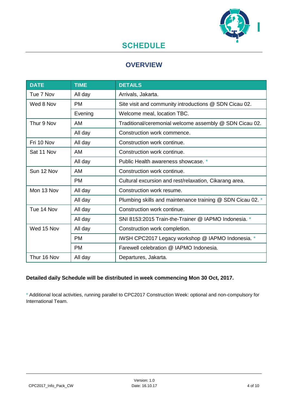

# **SCHEDULE**

# **OVERVIEW**

| <b>DATE</b> | <b>TIME</b> | <b>DETAILS</b>                                             |  |
|-------------|-------------|------------------------------------------------------------|--|
| Tue 7 Nov   | All day     | Arrivals, Jakarta.                                         |  |
| Wed 8 Nov   | <b>PM</b>   | Site visit and community introductions @ SDN Cicau 02.     |  |
|             | Evening     | Welcome meal, location TBC.                                |  |
| Thur 9 Nov  | AM          | Traditional/ceremonial welcome assembly @ SDN Cicau 02.    |  |
|             | All day     | Construction work commence.                                |  |
| Fri 10 Nov  | All day     | Construction work continue.                                |  |
| Sat 11 Nov  | AM          | Construction work continue.                                |  |
|             | All day     | Public Health awareness showcase. *                        |  |
| Sun 12 Nov  | AM          | Construction work continue.                                |  |
|             | <b>PM</b>   | Cultural excursion and rest/relaxation, Cikarang area.     |  |
| Mon 13 Nov  | All day     | Construction work resume.                                  |  |
|             | All day     | Plumbing skills and maintenance training @ SDN Cicau 02. * |  |
| Tue 14 Nov  | All day     | Construction work continue.                                |  |
|             | All day     | SNI 8153:2015 Train-the-Trainer @ IAPMO Indonesia. *       |  |
| Wed 15 Nov  | All day     | Construction work completion.                              |  |
|             | PM.         | IWSH CPC2017 Legacy workshop @ IAPMO Indonesia. *          |  |
|             | <b>PM</b>   | Farewell celebration @ IAPMO Indonesia.                    |  |
| Thur 16 Nov | All day     | Departures, Jakarta.                                       |  |

# **Detailed daily Schedule will be distributed in week commencing Mon 30 Oct, 2017.**

\* Additional local activities, running parallel to CPC2017 Construction Week: optional and non-compulsory for International Team.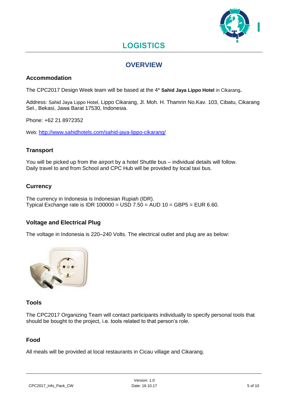

# **LOGISTICS**

# **OVERVIEW**

### **Accommodation**

The CPC2017 Design Week team will be based at the 4\* **Sahid Jaya Lippo Hotel** in Cikarang**.**

Address: Sahid Jaya Lippo Hotel, Lippo Cikarang, Jl. Moh. H. Thamrin No.Kav. 103, Cibatu, Cikarang Sel., Bekasi, Jawa Barat 17530, Indonesia.

Phone: +62 21 8972352

Web: <http://www.sahidhotels.com/sahid-jaya-lippo-cikarang/>

### **Transport**

You will be picked up from the airport by a hotel Shuttle bus – individual details will follow. Daily travel to and from School and CPC Hub will be provided by local taxi bus.

### **Currency**

The currency in Indonesia is Indonesian Rupiah (IDR). Typical Exchange rate is IDR 100000 = USD 7.50 = AUD 10 = GBP5 = EUR 6.60.

### **Voltage and Electrical Plug**

The voltage in Indonesia is 220–240 Volts. The electrical outlet and plug are as below:



### **Tools**

The CPC2017 Organizing Team will contact participants individually to specify personal tools that should be bought to the project, i.e. tools related to that person's role.

### **Food**

All meals will be provided at local restaurants in Cicau village and Cikarang.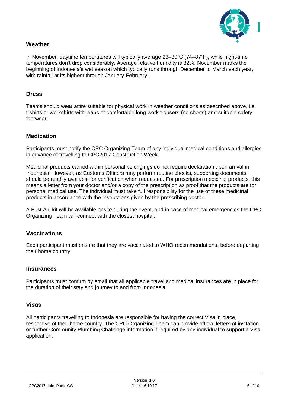

### **Weather**

In November, daytime temperatures will typically average 23–30˚C (74–87˚F), while night-time temperatures don't drop considerably. Average relative humidity is 82%. November marks the beginning of Indonesia's wet season which typically runs through December to March each year, with rainfall at its highest through January-February.

#### **Dress**

Teams should wear attire suitable for physical work in weather conditions as described above, i.e. t-shirts or workshirts with jeans or comfortable long work trousers (no shorts) and suitable safety footwear.

#### **Medication**

Participants must notify the CPC Organizing Team of any individual medical conditions and allergies in advance of travelling to CPC2017 Construction Week.

Medicinal products carried within personal belongings do not require declaration upon arrival in Indonesia. However, as Customs Officers may perform routine checks, supporting documents should be readily available for verification when requested. For prescription medicinal products, this means a letter from your doctor and/or a copy of the prescription as proof that the products are for personal medical use. The individual must take full responsibility for the use of these medicinal products in accordance with the instructions given by the prescribing doctor.

A First Aid kit will be available onsite during the event, and in case of medical emergencies the CPC Organizing Team will connect with the closest hospital.

#### **Vaccinations**

Each participant must ensure that they are vaccinated to WHO recommendations, before departing their home country.

#### **Insurances**

Participants must confirm by email that all applicable travel and medical insurances are in place for the duration of their stay and journey to and from Indonesia.

#### **Visas**

All participants travelling to Indonesia are responsible for having the correct Visa in place, respective of their home country. The CPC Organizing Team can provide official letters of invitation or further Community Plumbing Challenge information if required by any individual to support a Visa application.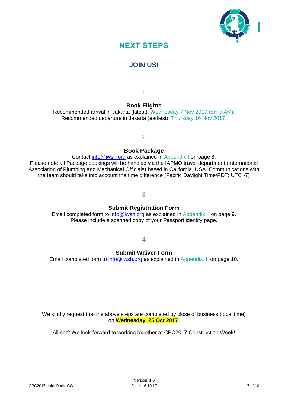

# **NEXT STEPS**

# **JOIN US!**

1

# **Book Flights**

Recommended arrival in Jakarta (latest), Wednesday 7 Nov 2017 (early AM). Recommended departure in Jakarta (earliest), Thursday 16 Nov 2017.

### 2

### **Book Package**

Contact [info@iwsh.org](mailto:info@iwsh.org) as explained in Appendix I on page 8. Please note all Package bookings will be handled via the IAPMO travel department (International Association of Plumbing and Mechanical Officials) based in California, USA. Communications with the team should take into account the time difference (Pacific Daylight Time/PDT: UTC -7)

# 3

### **Submit Registration Form**

Email completed form to [info@iwsh.org](mailto:info@iwsh.org) as explained in Appendix II on page 9. Please include a scanned copy of your Passport identity page.

### 4

### **Submit Waiver Form**

Email completed form to [info@iwsh.org](mailto:info@iwsh.org) as explained in Appendix III on page 10.

We kindly request that the above steps are completed by close of business (local time) on **Wednesday, 25 Oct 2017**.

All set? We look forward to working together at CPC2017 Construction Week!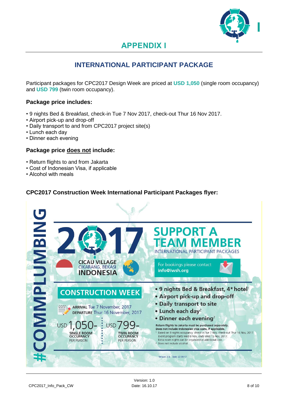

# **APPENDIX I**

# **INTERNATIONAL PARTICIPANT PACKAGE**

Participant packages for CPC2017 Design Week are priced at **USD 1,050** (single room occupancy) and **USD 799** (twin room occupancy).

### **Package price includes:**

- 9 nights Bed & Breakfast, check-in Tue 7 Nov 2017, check-out Thur 16 Nov 2017.
- Airport pick-up and drop-off
- Daily transport to and from CPC2017 project site(s)
- Lunch each day
- Dinner each evening

#### **Package price does not include:**

- Return flights to and from Jakarta
- Cost of Indonesian Visa, if applicable
- Alcohol with meals

### **CPC2017 Construction Week International Participant Packages flyer:**

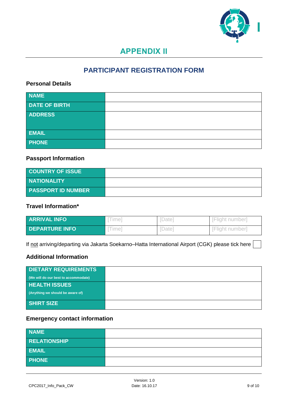

# **APPENDIX II**

# **PARTICIPANT REGISTRATION FORM**

# **Personal Details**

| <b>NAME</b>          |  |
|----------------------|--|
| <b>DATE OF BIRTH</b> |  |
| <b>ADDRESS</b>       |  |
|                      |  |
| <b>EMAIL</b>         |  |
| <b>PHONE</b>         |  |

# **Passport Information**

| <b>COUNTRY OF ISSUE</b>   |  |
|---------------------------|--|
| <b>NATIONALITY</b>        |  |
| <b>PASSPORT ID NUMBER</b> |  |

### **Travel Information\***

| <b>ARRIVAL INFO</b>   | lme'   | , Datel           | IFliaht number  |
|-----------------------|--------|-------------------|-----------------|
| <b>DEPARTURE INFO</b> | , ime' | Date <sup>1</sup> | IFliaht numberl |

If not arriving/departing via Jakarta Soekarno-Hatta International Airport (CGK) please tick here

# **Additional Information**

| <b>DIETARY REQUIREMENTS</b>          |  |
|--------------------------------------|--|
| (We will do our best to accommodate) |  |
| <b>HEALTH ISSUES</b>                 |  |
| (Anything we should be aware of)     |  |
| <b>SHIRT SIZE</b>                    |  |

# **Emergency contact information**

| <b>NAME</b>         |  |
|---------------------|--|
| <b>RELATIONSHIP</b> |  |
| <b>EMAIL</b>        |  |
| <b>PHONE</b>        |  |